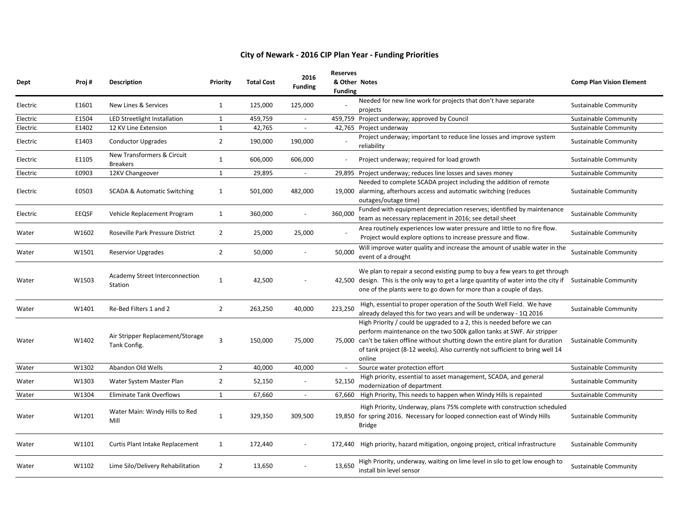| <b>Dept</b> | Proj#        | <b>Description</b>                               | Priority       | <b>Total Cost</b> | 2016<br><b>Funding</b>   | <b>Reserves</b><br>& Other Notes<br><b>Funding</b> |                                                                                                                                                                                                                                                                                                                                | <b>Comp Plan Vision Element</b> |
|-------------|--------------|--------------------------------------------------|----------------|-------------------|--------------------------|----------------------------------------------------|--------------------------------------------------------------------------------------------------------------------------------------------------------------------------------------------------------------------------------------------------------------------------------------------------------------------------------|---------------------------------|
| Electric    | E1601        | New Lines & Services                             | 1              | 125,000           | 125,000                  |                                                    | Needed for new line work for projects that don't have separate<br>projects                                                                                                                                                                                                                                                     | <b>Sustainable Community</b>    |
| Electric    | E1504        | LED Streetlight Installation                     | $\mathbf{1}$   | 459,759           |                          |                                                    | 459,759 Project underway; approved by Council<br><b>Sustainable Community</b>                                                                                                                                                                                                                                                  |                                 |
| Electric    | E1402        | 12 KV Line Extension                             | $\mathbf{1}$   | 42,765            | $\overline{\phantom{a}}$ |                                                    | 42,765 Project underway<br><b>Sustainable Community</b>                                                                                                                                                                                                                                                                        |                                 |
| Electric    | E1403        | <b>Conductor Upgrades</b>                        | $\overline{2}$ | 190,000           | 190,000                  |                                                    | Project underway; important to reduce line losses and improve system<br>reliability                                                                                                                                                                                                                                            | <b>Sustainable Community</b>    |
| Electric    | E1105        | New Transformers & Circuit<br><b>Breakers</b>    | $\mathbf{1}$   | 606,000           | 606,000                  |                                                    | Project underway; required for load growth                                                                                                                                                                                                                                                                                     | <b>Sustainable Community</b>    |
| Electric    | E0903        | 12KV Changeover                                  | $\mathbf{1}$   | 29,895            | $\blacksquare$           |                                                    | 29,895 Project underway; reduces line losses and saves money                                                                                                                                                                                                                                                                   | <b>Sustainable Community</b>    |
| Electric    | E0503        | <b>SCADA &amp; Automatic Switching</b>           | $\mathbf{1}$   | 501,000           | 482,000                  |                                                    | Needed to complete SCADA project including the addition of remote<br>19,000 alarming, afterhours access and automatic switching (reduces<br>outages/outage time)                                                                                                                                                               | <b>Sustainable Community</b>    |
| Electric    | <b>EEQSF</b> | Vehicle Replacement Program                      | $\mathbf{1}$   | 360,000           | $\overline{a}$           | 360,000                                            | Funded with equipment depreciation reserves; identified by maintenance<br>team as necessary replacement in 2016; see detail sheet                                                                                                                                                                                              | <b>Sustainable Community</b>    |
| Water       | W1602        | Roseville Park Pressure District                 | $\overline{2}$ | 25,000            | 25,000                   |                                                    | Area routinely experiences low water pressure and little to no fire flow.<br>Project would explore options to increase pressure and flow.                                                                                                                                                                                      | <b>Sustainable Community</b>    |
| Water       | W1501        | <b>Reservior Upgrades</b>                        | $\overline{2}$ | 50,000            |                          | 50,000                                             | Will improve water quality and increase the amount of usable water in the<br>event of a drought                                                                                                                                                                                                                                | Sustainable Community           |
| Water       | W1503        | Academy Street Interconnection<br>Station        | $\mathbf{1}$   | 42,500            |                          |                                                    | We plan to repair a second existing pump to buy a few years to get through<br>42,500 design. This is the only way to get a large quantity of water into the city if Sustainable Community<br>one of the plants were to go down for more than a couple of days.                                                                 |                                 |
| Water       | W1401        | Re-Bed Filters 1 and 2                           | $\overline{2}$ | 263,250           | 40,000                   | 223,250                                            | High, essential to proper operation of the South Well Field. We have<br>already delayed this for two years and will be underway - 1Q 2016                                                                                                                                                                                      | Sustainable Community           |
| Water       | W1402        | Air Stripper Replacement/Storage<br>Tank Config. | $\overline{3}$ | 150,000           | 75,000                   |                                                    | High Priority / could be upgraded to a 2, this is needed before we can<br>perform maintenance on the two 500k gallon tanks at SWF. Air stripper<br>75,000 can't be taken offline without shutting down the entire plant for duration<br>of tank project (8-12 weeks). Also currently not sufficient to bring well 14<br>online | Sustainable Community           |
| Water       | W1302        | Abandon Old Wells                                | $\overline{2}$ | 40,000            | 40,000                   |                                                    | Source water protection effort                                                                                                                                                                                                                                                                                                 | <b>Sustainable Community</b>    |
| Water       | W1303        | Water System Master Plan                         | $\overline{2}$ | 52,150            | $\blacksquare$           | 52,150                                             | High priority, essential to asset management, SCADA, and general<br>modernization of department                                                                                                                                                                                                                                | Sustainable Community           |
| Water       | W1304        | <b>Eliminate Tank Overflows</b>                  | $\mathbf{1}$   | 67,660            | $\blacksquare$           | 67.660                                             | High Priority, This needs to happen when Windy Hills is repainted                                                                                                                                                                                                                                                              | <b>Sustainable Community</b>    |
| Water       | W1201        | Water Main: Windy Hills to Red<br>Mill           | $\mathbf{1}$   | 329,350           | 309,500                  |                                                    | High Priority, Underway, plans 75% complete with construction scheduled<br>19,850 for spring 2016. Necessary for looped connection east of Windy Hills<br>Bridge                                                                                                                                                               | Sustainable Community           |
| Water       | W1101        | Curtis Plant Intake Replacement                  | 1              | 172,440           |                          |                                                    | 172,440 High priority, hazard mitigation, ongoing project, critical infrastructure                                                                                                                                                                                                                                             | <b>Sustainable Community</b>    |
| Water       | W1102        | Lime Silo/Delivery Rehabilitation                | $\overline{2}$ | 13,650            |                          | 13,650                                             | High Priority, underway, waiting on lime level in silo to get low enough to<br>install bin level sensor                                                                                                                                                                                                                        | Sustainable Community           |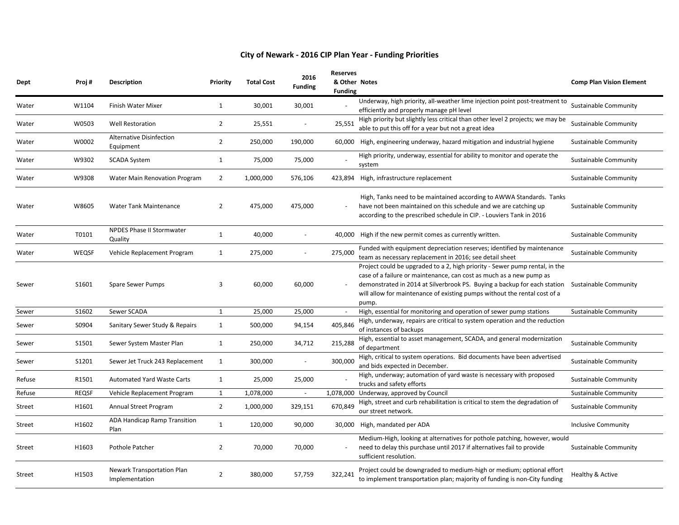| Dept          | Proj#        | <b>Description</b>                           | Priority       | <b>Total Cost</b> | 2016<br><b>Funding</b>   | <b>Reserves</b><br>& Other Notes<br><b>Funding</b> |                                                                                                                                                                                                                                                                                                                                            | <b>Comp Plan Vision Element</b> |
|---------------|--------------|----------------------------------------------|----------------|-------------------|--------------------------|----------------------------------------------------|--------------------------------------------------------------------------------------------------------------------------------------------------------------------------------------------------------------------------------------------------------------------------------------------------------------------------------------------|---------------------------------|
| Water         | W1104        | Finish Water Mixer                           | 1              | 30,001            | 30,001                   |                                                    | Underway, high priority, all-weather lime injection point post-treatment to<br>efficiently and properly manage pH level                                                                                                                                                                                                                    | Sustainable Community           |
| Water         | W0503        | <b>Well Restoration</b>                      | $\overline{2}$ | 25,551            |                          | 25,551                                             | High priority but slightly less critical than other level 2 projects; we may be<br>able to put this off for a year but not a great idea                                                                                                                                                                                                    | Sustainable Community           |
| Water         | W0002        | Alternative Disinfection<br>Equipment        | $\overline{2}$ | 250,000           | 190,000                  |                                                    | 60,000 High, engineering underway, hazard mitigation and industrial hygiene                                                                                                                                                                                                                                                                | Sustainable Community           |
| Water         | W9302        | <b>SCADA System</b>                          | 1              | 75,000            | 75,000                   |                                                    | High priority, underway, essential for ability to monitor and operate the<br>system                                                                                                                                                                                                                                                        | Sustainable Community           |
| Water         | W9308        | Water Main Renovation Program                | $\overline{2}$ | 1,000,000         | 576,106                  |                                                    | 423,894 High, infrastructure replacement                                                                                                                                                                                                                                                                                                   | <b>Sustainable Community</b>    |
| Water         | W8605        | Water Tank Maintenance                       | $\overline{2}$ | 475,000           | 475,000                  |                                                    | High, Tanks need to be maintained according to AWWA Standards. Tanks<br>have not been maintained on this schedule and we are catching up<br>according to the prescribed schedule in CIP. - Louviers Tank in 2016                                                                                                                           | Sustainable Community           |
| Water         | T0101        | NPDES Phase II Stormwater<br>Quality         | 1              | 40,000            |                          |                                                    | 40,000 High if the new permit comes as currently written.                                                                                                                                                                                                                                                                                  | <b>Sustainable Community</b>    |
| Water         | WEQSF        | Vehicle Replacement Program                  | 1              | 275,000           |                          | 275,000                                            | Funded with equipment depreciation reserves; identified by maintenance<br>team as necessary replacement in 2016; see detail sheet                                                                                                                                                                                                          | Sustainable Community           |
| Sewer         | S1601        | Spare Sewer Pumps                            | 3              | 60,000            | 60,000                   |                                                    | Project could be upgraded to a 2, high priority - Sewer pump rental, in the<br>case of a failure or maintenance, can cost as much as a new pump as<br>demonstrated in 2014 at Silverbrook PS. Buying a backup for each station Sustainable Community<br>will allow for maintenance of existing pumps without the rental cost of a<br>pump. |                                 |
| Sewer         | S1602        | Sewer SCADA                                  | $\mathbf{1}$   | 25,000            | 25,000                   | $\sim$                                             | High, essential for monitoring and operation of sewer pump stations                                                                                                                                                                                                                                                                        | <b>Sustainable Community</b>    |
| Sewer         | S0904        | Sanitary Sewer Study & Repairs               | 1              | 500,000           | 94,154                   | 405,846                                            | High, underway, repairs are critical to system operation and the reduction<br>of instances of backups                                                                                                                                                                                                                                      |                                 |
| Sewer         | S1501        | Sewer System Master Plan                     | 1              | 250,000           | 34,712                   | 215,288                                            | High, essential to asset management, SCADA, and general modernization<br>of department                                                                                                                                                                                                                                                     | <b>Sustainable Community</b>    |
| Sewer         | S1201        | Sewer Jet Truck 243 Replacement              | 1              | 300,000           |                          | 300,000                                            | High, critical to system operations. Bid documents have been advertised<br>and bids expected in December.                                                                                                                                                                                                                                  | Sustainable Community           |
| Refuse        | R1501        | <b>Automated Yard Waste Carts</b>            | 1              | 25,000            | 25,000                   |                                                    | High, underway; automation of yard waste is necessary with proposed<br>trucks and safety efforts                                                                                                                                                                                                                                           | Sustainable Community           |
| Refuse        | <b>REQSF</b> | Vehicle Replacement Program                  | 1              | 1,078,000         | $\overline{\phantom{a}}$ |                                                    | 1,078,000 Underway, approved by Council                                                                                                                                                                                                                                                                                                    | <b>Sustainable Community</b>    |
| Street        | H1601        | Annual Street Program                        | $\overline{2}$ | 1,000,000         | 329,151                  | 670,849                                            | High, street and curb rehabilitation is critical to stem the degradation of<br>our street network.                                                                                                                                                                                                                                         | <b>Sustainable Community</b>    |
| <b>Street</b> | H1602        | ADA Handicap Ramp Transition<br>Plan         | 1              | 120,000           | 90,000                   |                                                    | 30,000 High, mandated per ADA                                                                                                                                                                                                                                                                                                              | <b>Inclusive Community</b>      |
| <b>Street</b> | H1603        | Pothole Patcher                              | $\overline{2}$ | 70,000            | 70,000                   |                                                    | Medium-High, looking at alternatives for pothole patching, however, would<br>need to delay this purchase until 2017 if alternatives fail to provide<br>sufficient resolution.                                                                                                                                                              | <b>Sustainable Community</b>    |
| <b>Street</b> | H1503        | Newark Transportation Plan<br>Implementation | $\overline{2}$ | 380,000           | 57,759                   | 322,241                                            | Project could be downgraded to medium-high or medium; optional effort<br>to implement transportation plan; majority of funding is non-City funding                                                                                                                                                                                         | Healthy & Active                |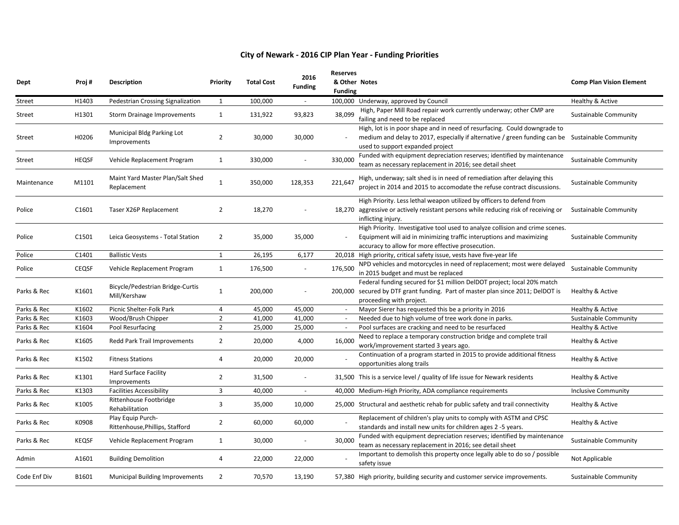| Dept          | Proj#        | <b>Description</b>                                   | Priority       | <b>Total Cost</b> | 2016<br><b>Funding</b>   | <b>Reserves</b><br>& Other Notes<br><b>Funding</b> |                                                                                                                                                                                                                   | <b>Comp Plan Vision Element</b> |
|---------------|--------------|------------------------------------------------------|----------------|-------------------|--------------------------|----------------------------------------------------|-------------------------------------------------------------------------------------------------------------------------------------------------------------------------------------------------------------------|---------------------------------|
| <b>Street</b> | H1403        | Pedestrian Crossing Signalization                    | 1              | 100,000           |                          |                                                    | 100,000 Underway, approved by Council                                                                                                                                                                             | Healthy & Active                |
| <b>Street</b> | H1301        | Storm Drainage Improvements                          | 1              | 131,922           | 93,823                   | 38,099                                             | High, Paper Mill Road repair work currently underway; other CMP are<br>failing and need to be replaced                                                                                                            | Sustainable Community           |
| <b>Street</b> | H0206        | Municipal Bldg Parking Lot<br>Improvements           | $\overline{2}$ | 30,000            | 30,000                   |                                                    | High, lot is in poor shape and in need of resurfacing. Could downgrade to<br>medium and delay to 2017, especially if alternative / green funding can be Sustainable Community<br>used to support expanded project |                                 |
| Street        | <b>HEQSF</b> | Vehicle Replacement Program                          | 1              | 330,000           | $\overline{\phantom{a}}$ | 330,000                                            | Funded with equipment depreciation reserves; identified by maintenance<br>team as necessary replacement in 2016; see detail sheet                                                                                 | <b>Sustainable Community</b>    |
| Maintenance   | M1101        | Maint Yard Master Plan/Salt Shed<br>Replacement      | $\mathbf{1}$   | 350,000           | 128,353                  | 221,647                                            | High, underway; salt shed is in need of remediation after delaying this<br>project in 2014 and 2015 to accomodate the refuse contract discussions.                                                                | Sustainable Community           |
| Police        | C1601        | Taser X26P Replacement                               | $\overline{2}$ | 18,270            |                          |                                                    | High Priority. Less lethal weapon utilized by officers to defend from<br>18,270 aggressive or actively resistant persons while reducing risk of receiving or<br>inflicting injury.                                | <b>Sustainable Community</b>    |
| Police        | C1501        | Leica Geosystems - Total Station                     | $\overline{2}$ | 35,000            | 35,000                   | $\sim$                                             | High Priority. Investigative tool used to analyze collision and crime scenes.<br>Equipment will aid in minimizing traffic interuptions and maximizing<br>accuracy to allow for more effective prosecution.        | Sustainable Community           |
| Police        | C1401        | <b>Ballistic Vests</b>                               | 1              | 26,195            | 6,177                    |                                                    | 20,018 High priority, critical safety issue, vests have five-year life                                                                                                                                            |                                 |
| Police        | <b>CEQSF</b> | Vehicle Replacement Program                          | 1              | 176,500           | $\omega$                 | 176,500                                            | NPD vehicles and motorcycles in need of replacement; most were delayed<br>in 2015 budget and must be replaced                                                                                                     | Sustainable Community           |
| Parks & Rec   | K1601        | Bicycle/Pedestrian Bridge-Curtis<br>Mill/Kershaw     | 1              | 200,000           |                          | 200.000                                            | Federal funding secured for \$1 million DelDOT project; local 20% match<br>secured by DTF grant funding. Part of master plan since 2011; DelDOT is<br>proceeding with project.                                    | Healthy & Active                |
| Parks & Rec   | K1602        | Picnic Shelter-Folk Park                             | $\overline{4}$ | 45,000            | 45,000                   | $\sim$                                             | Mayor Sierer has requested this be a priority in 2016                                                                                                                                                             | Healthy & Active                |
| Parks & Rec   | K1603        | Wood/Brush Chipper                                   | $\overline{2}$ | 41,000            | 41,000                   |                                                    | Needed due to high volume of tree work done in parks.                                                                                                                                                             | <b>Sustainable Community</b>    |
| Parks & Rec   | K1604        | Pool Resurfacing                                     | $\overline{2}$ | 25,000            | 25,000                   | $\sim$                                             | Pool surfaces are cracking and need to be resurfaced                                                                                                                                                              | Healthy & Active                |
| Parks & Rec   | K1605        | Redd Park Trail Improvements                         | $\overline{2}$ | 20,000            | 4,000                    | 16,000                                             | Need to replace a temporary construction bridge and complete trail<br>work/improvement started 3 years ago.                                                                                                       | Healthy & Active                |
| Parks & Rec   | K1502        | <b>Fitness Stations</b>                              | $\overline{4}$ | 20,000            | 20,000                   |                                                    | Continuation of a program started in 2015 to provide additional fitness<br>opportunities along trails                                                                                                             | Healthy & Active                |
| Parks & Rec   | K1301        | <b>Hard Surface Facility</b><br>Improvements         | $\overline{2}$ | 31,500            | $\omega$                 |                                                    | 31,500 This is a service level / quality of life issue for Newark residents                                                                                                                                       | Healthy & Active                |
| Parks & Rec   | K1303        | <b>Facilities Accessibility</b>                      | $\overline{3}$ | 40,000            | $\omega$                 |                                                    | 40,000 Medium-High Priority, ADA compliance requirements                                                                                                                                                          | <b>Inclusive Community</b>      |
| Parks & Rec   | K1005        | Rittenhouse Footbridge<br>Rehabilitation             | $\overline{3}$ | 35,000            | 10,000                   |                                                    | 25,000 Structural and aesthetic rehab for public safety and trail connectivity                                                                                                                                    | Healthy & Active                |
| Parks & Rec   | K0908        | Play Equip Purch-<br>Rittenhouse, Phillips, Stafford | $\overline{2}$ | 60,000            | 60,000                   |                                                    | Replacement of children's play units to comply with ASTM and CPSC<br>standards and install new units for children ages 2 -5 years.                                                                                | Healthy & Active                |
| Parks & Rec   | <b>KEQSF</b> | Vehicle Replacement Program                          | 1              | 30,000            | $\overline{\phantom{a}}$ | 30,000                                             | Funded with equipment depreciation reserves; identified by maintenance<br>team as necessary replacement in 2016; see detail sheet                                                                                 | Sustainable Community           |
| Admin         | A1601        | <b>Building Demolition</b>                           | $\overline{4}$ | 22,000            | 22,000                   |                                                    | Important to demolish this property once legally able to do so / possible<br>safety issue                                                                                                                         | Not Applicable                  |
| Code Enf Div  | B1601        | Municipal Building Improvements                      | $\overline{2}$ | 70,570            | 13,190                   |                                                    | 57,380 High priority, building security and customer service improvements.                                                                                                                                        | <b>Sustainable Community</b>    |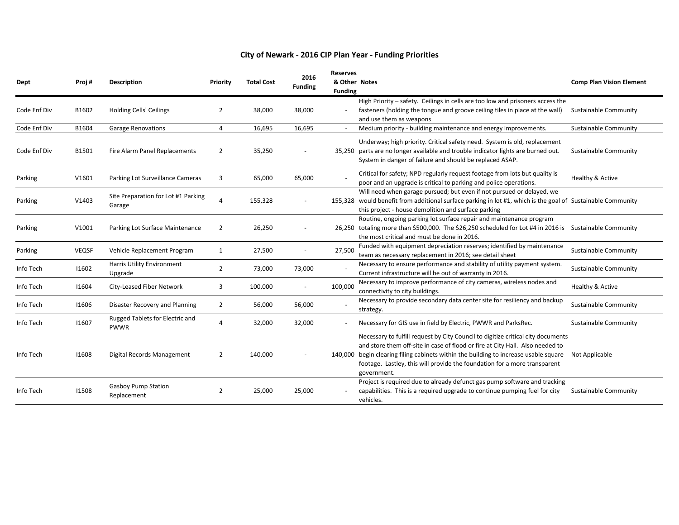| Dept         | Proj#        | <b>Description</b>                            | Priority       | <b>Total Cost</b> | 2016<br><b>Funding</b> | <b>Reserves</b><br>& Other Notes<br><b>Funding</b> |                                                                                                                                                                                                                                                                                                                                                       | <b>Comp Plan Vision Element</b> |
|--------------|--------------|-----------------------------------------------|----------------|-------------------|------------------------|----------------------------------------------------|-------------------------------------------------------------------------------------------------------------------------------------------------------------------------------------------------------------------------------------------------------------------------------------------------------------------------------------------------------|---------------------------------|
| Code Enf Div | B1602        | <b>Holding Cells' Ceilings</b>                | $\overline{2}$ | 38,000            | 38,000                 |                                                    | High Priority - safety. Ceilings in cells are too low and prisoners access the<br>fasteners (holding the tongue and groove ceiling tiles in place at the wall)<br>and use them as weapons                                                                                                                                                             | <b>Sustainable Community</b>    |
| Code Enf Div | B1604        | <b>Garage Renovations</b>                     | 4              | 16,695            | 16,695                 |                                                    | Medium priority - building maintenance and energy improvements.                                                                                                                                                                                                                                                                                       | Sustainable Community           |
| Code Enf Div | B1501        | Fire Alarm Panel Replacements                 | $\overline{2}$ | 35,250            |                        |                                                    | Underway; high priority. Critical safety need. System is old, replacement<br>35,250 parts are no longer available and trouble indicator lights are burned out.<br>System in danger of failure and should be replaced ASAP.                                                                                                                            | Sustainable Community           |
| Parking      | V1601        | Parking Lot Surveillance Cameras              | 3              | 65,000            | 65,000                 |                                                    | Critical for safety; NPD regularly request footage from lots but quality is<br>poor and an upgrade is critical to parking and police operations.                                                                                                                                                                                                      | Healthy & Active                |
| Parking      | V1403        | Site Preparation for Lot #1 Parking<br>Garage |                | 155,328           |                        |                                                    | Will need when garage pursued; but even if not pursued or delayed, we<br>155,328 would benefit from additional surface parking in lot #1, which is the goal of Sustainable Community<br>this project - house demolition and surface parking                                                                                                           |                                 |
| Parking      | V1001        | Parking Lot Surface Maintenance               | $\overline{2}$ | 26,250            |                        |                                                    | Routine, ongoing parking lot surface repair and maintenance program<br>26,250 totaling more than \$500,000. The \$26,250 scheduled for Lot #4 in 2016 is Sustainable Community<br>the most critical and must be done in 2016.                                                                                                                         |                                 |
| Parking      | <b>VEQSF</b> | Vehicle Replacement Program                   | 1              | 27,500            |                        | 27,500                                             | Funded with equipment depreciation reserves; identified by maintenance<br>team as necessary replacement in 2016; see detail sheet                                                                                                                                                                                                                     | <b>Sustainable Community</b>    |
| Info Tech    | 11602        | Harris Utility Environment<br>Upgrade         | $\overline{2}$ | 73,000            | 73,000                 |                                                    | Necessary to ensure performance and stability of utility payment system.<br>Current infrastructure will be out of warranty in 2016.                                                                                                                                                                                                                   | <b>Sustainable Community</b>    |
| Info Tech    | 11604        | City-Leased Fiber Network                     | 3              | 100,000           |                        | 100,000                                            | Necessary to improve performance of city cameras, wireless nodes and<br>connectivity to city buildings.                                                                                                                                                                                                                                               | Healthy & Active                |
| Info Tech    | 11606        | Disaster Recovery and Planning                | $\overline{2}$ | 56,000            | 56,000                 |                                                    | Necessary to provide secondary data center site for resiliency and backup<br>strategy.                                                                                                                                                                                                                                                                | <b>Sustainable Community</b>    |
| Info Tech    | 11607        | Rugged Tablets for Electric and<br>PWWR       | 4              | 32,000            | 32,000                 |                                                    | Necessary for GIS use in field by Electric, PWWR and ParksRec.                                                                                                                                                                                                                                                                                        | Sustainable Community           |
| Info Tech    | 11608        | Digital Records Management                    | $\overline{2}$ | 140,000           |                        |                                                    | Necessary to fulfill request by City Council to digitize critical city documents<br>and store them off-site in case of flood or fire at City Hall. Also needed to<br>140,000 begin clearing filing cabinets within the building to increase usable square<br>footage. Lastley, this will provide the foundation for a more transparent<br>government. | Not Applicable                  |
| Info Tech    | 11508        | <b>Gasboy Pump Station</b><br>Replacement     | $\overline{2}$ | 25,000            | 25,000                 |                                                    | Project is required due to already defunct gas pump software and tracking<br>capabilities. This is a required upgrade to continue pumping fuel for city<br>vehicles.                                                                                                                                                                                  | <b>Sustainable Community</b>    |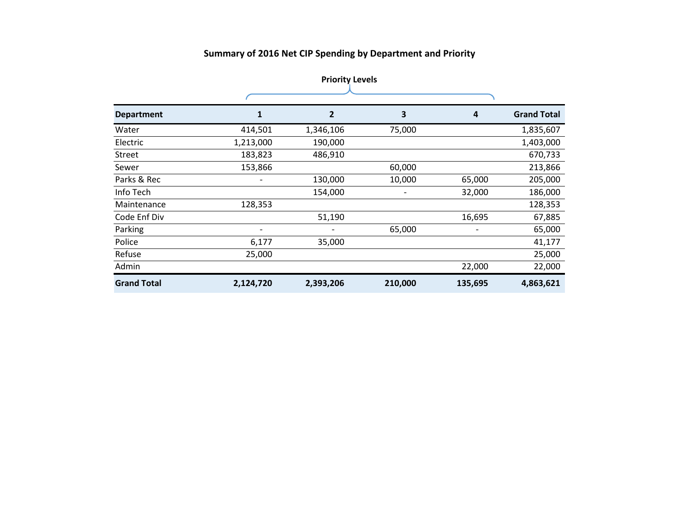# **Summary of 2016 Net CIP Spending by Department and Priority**

|                    | <b>Priority Levels</b> |           |         |         |                    |  |  |  |
|--------------------|------------------------|-----------|---------|---------|--------------------|--|--|--|
|                    |                        |           |         |         |                    |  |  |  |
| <b>Department</b>  |                        | 2         | 3       | 4       | <b>Grand Total</b> |  |  |  |
| Water              | 414,501                | 1,346,106 | 75,000  |         | 1,835,607          |  |  |  |
| Electric           | 1,213,000              | 190,000   |         |         | 1,403,000          |  |  |  |
| Street             | 183,823                | 486,910   |         |         | 670,733            |  |  |  |
| Sewer              | 153,866                |           | 60,000  |         | 213,866            |  |  |  |
| Parks & Rec        |                        | 130,000   | 10,000  | 65,000  | 205,000            |  |  |  |
| Info Tech          |                        | 154,000   | -       | 32,000  | 186,000            |  |  |  |
| Maintenance        | 128,353                |           |         |         | 128,353            |  |  |  |
| Code Enf Div       |                        | 51,190    |         | 16,695  | 67,885             |  |  |  |
| Parking            |                        |           | 65,000  |         | 65,000             |  |  |  |
| Police             | 6,177                  | 35,000    |         |         | 41,177             |  |  |  |
| Refuse             | 25,000                 |           |         |         | 25,000             |  |  |  |
| Admin              |                        |           |         | 22,000  | 22,000             |  |  |  |
| <b>Grand Total</b> | 2,124,720              | 2,393,206 | 210,000 | 135,695 | 4,863,621          |  |  |  |